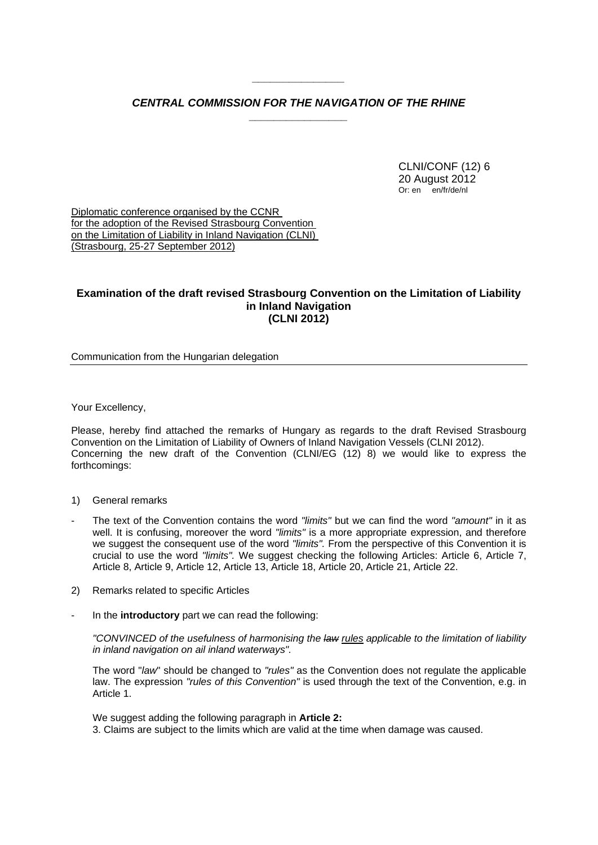## *CENTRAL COMMISSION FOR THE NAVIGATION OF THE RHINE \_\_\_\_\_\_\_\_\_\_\_\_\_\_\_\_*

*\_\_\_\_\_\_\_\_\_\_\_\_\_\_\_* 

 CLNI/CONF (12) 6 20 August 2012 Or: en en/fr/de/nl

Diplomatic conference organised by the CCNR for the adoption of the Revised Strasbourg Convention on the Limitation of Liability in Inland Navigation (CLNI) (Strasbourg, 25-27 September 2012)

## **Examination of the draft revised Strasbourg Convention on the Limitation of Liability in Inland Navigation (CLNI 2012)**

Communication from the Hungarian delegation

Your Excellency,

Please, hereby find attached the remarks of Hungary as regards to the draft Revised Strasbourg Convention on the Limitation of Liability of Owners of Inland Navigation Vessels (CLNI 2012). Concerning the new draft of the Convention (CLNI/EG (12) 8) we would like to express the forthcomings:

- 1) General remarks
- The text of the Convention contains the word *"limits"* but we can find the word *"amount"* in it as well. It is confusing, moreover the word *"limits"* is a more appropriate expression, and therefore we suggest the consequent use of the word *"limits".* From the perspective of this Convention it is crucial to use the word *"limits".* We suggest checking the following Articles: Article 6, Article 7, Article 8, Article 9, Article 12, Article 13, Article 18, Article 20, Article 21, Article 22.
- 2) Remarks related to specific Articles
- In the **introductory** part we can read the following:

*"CONVINCED of the usefulness of harmonising the law rules applicable to the limitation of liability in inland navigation on ail inland waterways".*

The word "*law*" should be changed to *"rules"* as the Convention does not regulate the applicable law. The expression *"rules of this Convention"* is used through the text of the Convention, e.g. in Article 1.

We suggest adding the following paragraph in **Article 2:**

3. Claims are subject to the limits which are valid at the time when damage was caused.